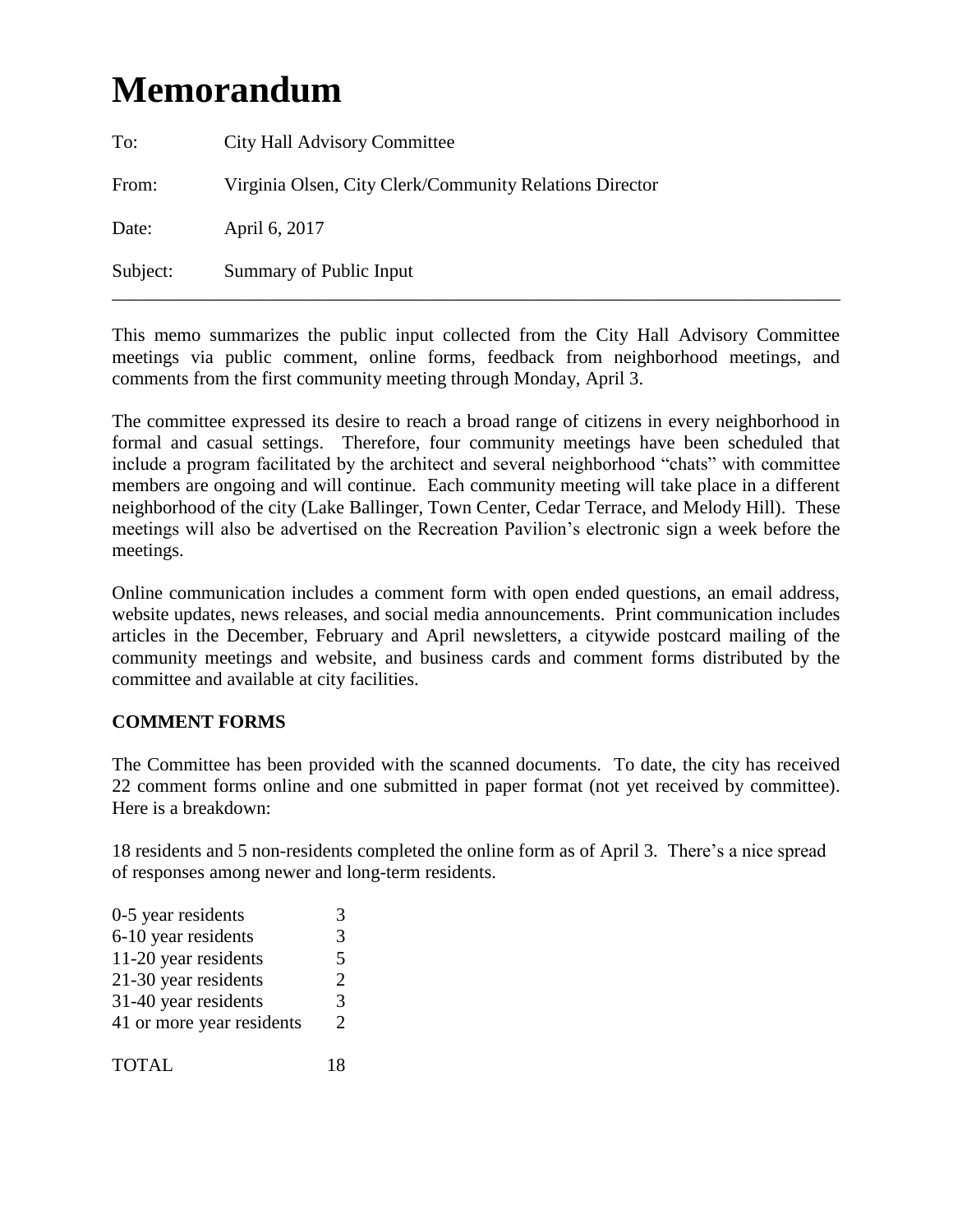# **Memorandum**

| To:      | <b>City Hall Advisory Committee</b>                     |
|----------|---------------------------------------------------------|
| From:    | Virginia Olsen, City Clerk/Community Relations Director |
| Date:    | April 6, 2017                                           |
| Subject: | Summary of Public Input                                 |

This memo summarizes the public input collected from the City Hall Advisory Committee meetings via public comment, online forms, feedback from neighborhood meetings, and comments from the first community meeting through Monday, April 3.

The committee expressed its desire to reach a broad range of citizens in every neighborhood in formal and casual settings. Therefore, four community meetings have been scheduled that include a program facilitated by the architect and several neighborhood "chats" with committee members are ongoing and will continue. Each community meeting will take place in a different neighborhood of the city (Lake Ballinger, Town Center, Cedar Terrace, and Melody Hill). These meetings will also be advertised on the Recreation Pavilion's electronic sign a week before the meetings.

Online communication includes a comment form with open ended questions, an email address, website updates, news releases, and social media announcements. Print communication includes articles in the December, February and April newsletters, a citywide postcard mailing of the community meetings and website, and business cards and comment forms distributed by the committee and available at city facilities.

## **COMMENT FORMS**

The Committee has been provided with the scanned documents. To date, the city has received 22 comment forms online and one submitted in paper format (not yet received by committee). Here is a breakdown:

18 residents and 5 non-residents completed the online form as of April 3. There's a nice spread of responses among newer and long-term residents.

| 0-5 year residents        | $\mathcal{R}$         |
|---------------------------|-----------------------|
| 6-10 year residents       | 3                     |
| 11-20 year residents      | 5                     |
| 21-30 year residents      | $\mathcal{D}_{\cdot}$ |
| 31-40 year residents      | 3                     |
| 41 or more year residents | $\mathcal{D}_{\cdot}$ |
|                           |                       |
| <b>TOTAL</b>              | 18                    |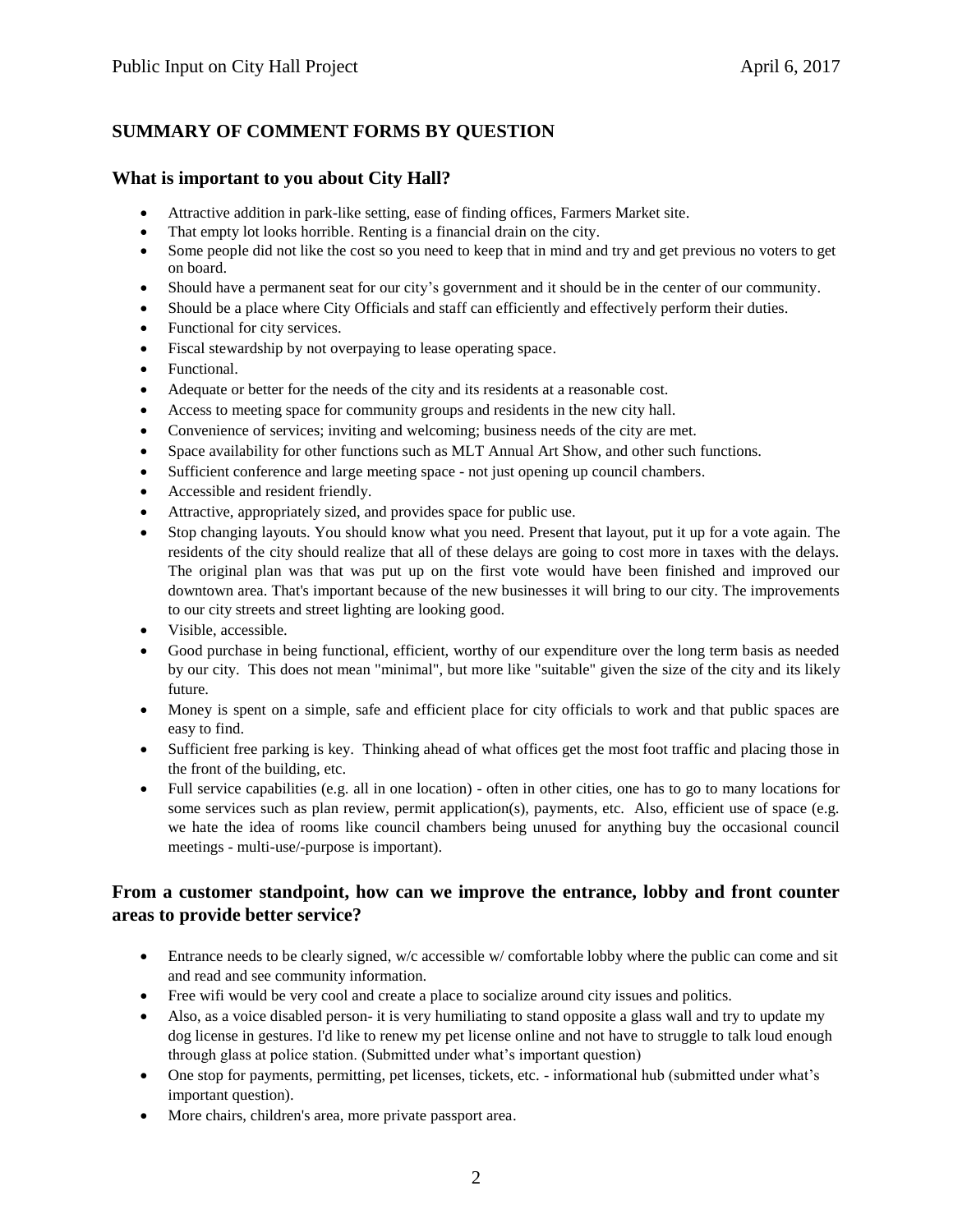## **SUMMARY OF COMMENT FORMS BY QUESTION**

#### **What is important to you about City Hall?**

- Attractive addition in park-like setting, ease of finding offices, Farmers Market site.
- That empty lot looks horrible. Renting is a financial drain on the city.
- Some people did not like the cost so you need to keep that in mind and try and get previous no voters to get on board.
- Should have a permanent seat for our city's government and it should be in the center of our community.
- Should be a place where City Officials and staff can efficiently and effectively perform their duties.
- Functional for city services.
- Fiscal stewardship by not overpaying to lease operating space.
- Functional.
- Adequate or better for the needs of the city and its residents at a reasonable cost.
- Access to meeting space for community groups and residents in the new city hall.
- Convenience of services; inviting and welcoming; business needs of the city are met.
- Space availability for other functions such as MLT Annual Art Show, and other such functions.
- Sufficient conference and large meeting space not just opening up council chambers.
- Accessible and resident friendly.
- Attractive, appropriately sized, and provides space for public use.
- Stop changing layouts. You should know what you need. Present that layout, put it up for a vote again. The residents of the city should realize that all of these delays are going to cost more in taxes with the delays. The original plan was that was put up on the first vote would have been finished and improved our downtown area. That's important because of the new businesses it will bring to our city. The improvements to our city streets and street lighting are looking good.
- Visible, accessible.
- Good purchase in being functional, efficient, worthy of our expenditure over the long term basis as needed by our city. This does not mean "minimal", but more like "suitable" given the size of the city and its likely future.
- Money is spent on a simple, safe and efficient place for city officials to work and that public spaces are easy to find.
- Sufficient free parking is key. Thinking ahead of what offices get the most foot traffic and placing those in the front of the building, etc.
- Full service capabilities (e.g. all in one location) often in other cities, one has to go to many locations for some services such as plan review, permit application(s), payments, etc. Also, efficient use of space (e.g. we hate the idea of rooms like council chambers being unused for anything buy the occasional council meetings - multi-use/-purpose is important).

#### **From a customer standpoint, how can we improve the entrance, lobby and front counter areas to provide better service?**

- Entrance needs to be clearly signed, w/c accessible w/ comfortable lobby where the public can come and sit and read and see community information.
- Free wifi would be very cool and create a place to socialize around city issues and politics.
- Also, as a voice disabled person- it is very humiliating to stand opposite a glass wall and try to update my dog license in gestures. I'd like to renew my pet license online and not have to struggle to talk loud enough through glass at police station. (Submitted under what's important question)
- One stop for payments, permitting, pet licenses, tickets, etc. informational hub (submitted under what's important question).
- More chairs, children's area, more private passport area.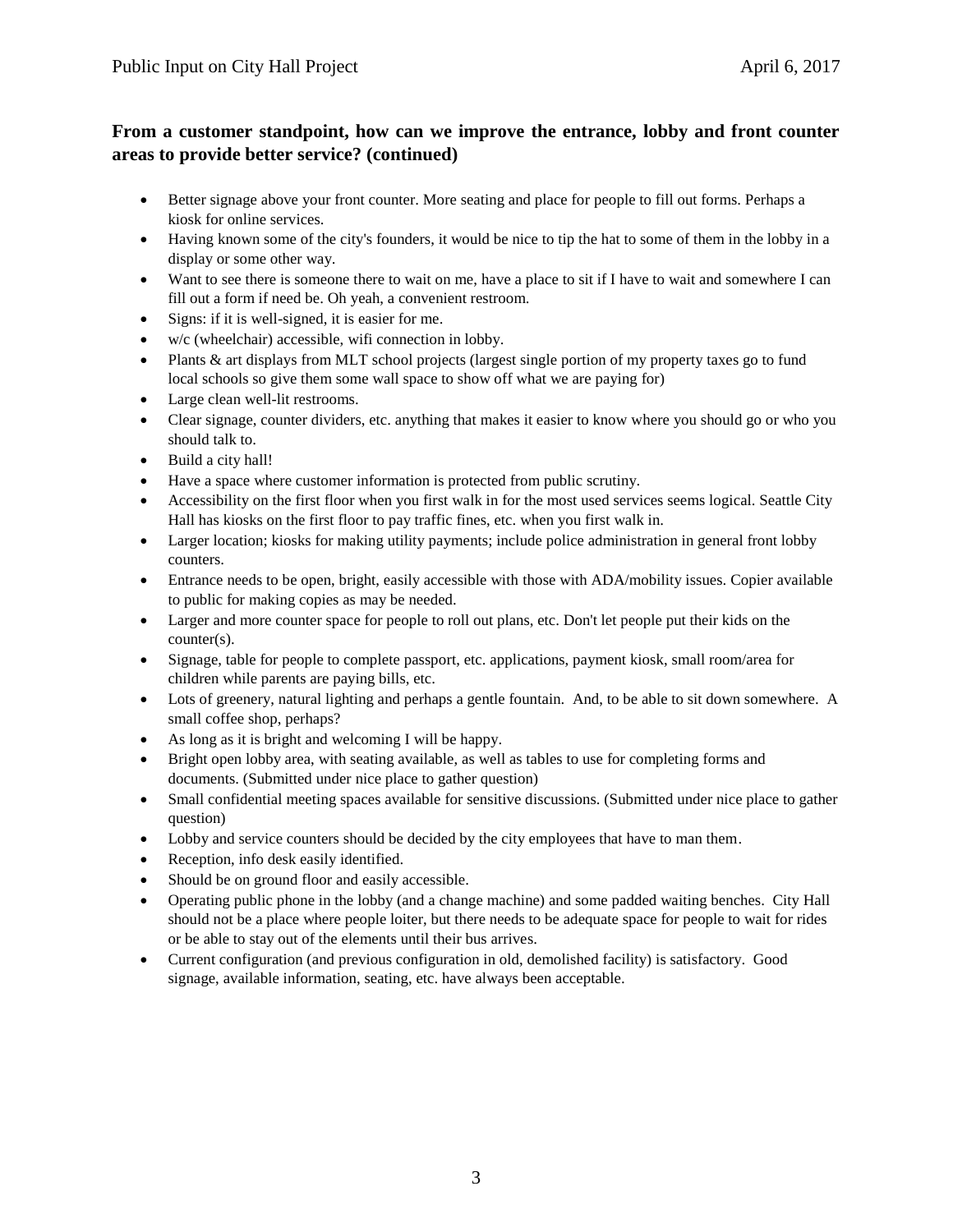## **From a customer standpoint, how can we improve the entrance, lobby and front counter areas to provide better service? (continued)**

- Better signage above your front counter. More seating and place for people to fill out forms. Perhaps a kiosk for online services.
- Having known some of the city's founders, it would be nice to tip the hat to some of them in the lobby in a display or some other way.
- Want to see there is someone there to wait on me, have a place to sit if I have to wait and somewhere I can fill out a form if need be. Oh yeah, a convenient restroom.
- Signs: if it is well-signed, it is easier for me.
- w/c (wheelchair) accessible, wifi connection in lobby.
- Plants & art displays from MLT school projects (largest single portion of my property taxes go to fund local schools so give them some wall space to show off what we are paying for)
- Large clean well-lit restrooms.
- Clear signage, counter dividers, etc. anything that makes it easier to know where you should go or who you should talk to.
- Build a city hall!
- Have a space where customer information is protected from public scrutiny.
- Accessibility on the first floor when you first walk in for the most used services seems logical. Seattle City Hall has kiosks on the first floor to pay traffic fines, etc. when you first walk in.
- Larger location; kiosks for making utility payments; include police administration in general front lobby counters.
- Entrance needs to be open, bright, easily accessible with those with ADA/mobility issues. Copier available to public for making copies as may be needed.
- Larger and more counter space for people to roll out plans, etc. Don't let people put their kids on the counter(s).
- Signage, table for people to complete passport, etc. applications, payment kiosk, small room/area for children while parents are paying bills, etc.
- Lots of greenery, natural lighting and perhaps a gentle fountain. And, to be able to sit down somewhere. A small coffee shop, perhaps?
- As long as it is bright and welcoming I will be happy.
- Bright open lobby area, with seating available, as well as tables to use for completing forms and documents. (Submitted under nice place to gather question)
- Small confidential meeting spaces available for sensitive discussions. (Submitted under nice place to gather question)
- Lobby and service counters should be decided by the city employees that have to man them.
- Reception, info desk easily identified.
- Should be on ground floor and easily accessible.
- Operating public phone in the lobby (and a change machine) and some padded waiting benches. City Hall should not be a place where people loiter, but there needs to be adequate space for people to wait for rides or be able to stay out of the elements until their bus arrives.
- Current configuration (and previous configuration in old, demolished facility) is satisfactory. Good signage, available information, seating, etc. have always been acceptable.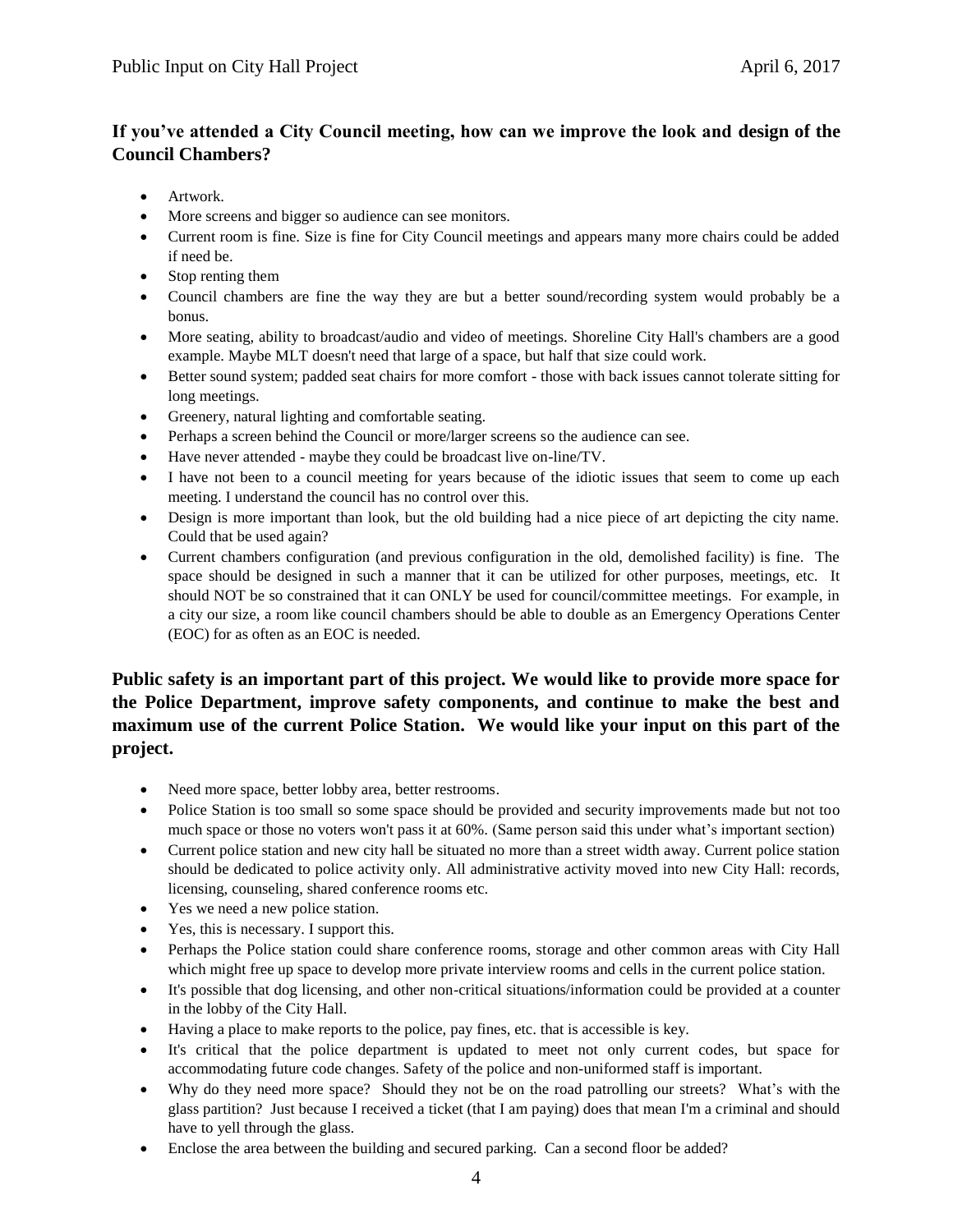# **If you've attended a City Council meeting, how can we improve the look and design of the Council Chambers?**

- Artwork.
- More screens and bigger so audience can see monitors.
- Current room is fine. Size is fine for City Council meetings and appears many more chairs could be added if need be.
- Stop renting them
- Council chambers are fine the way they are but a better sound/recording system would probably be a bonus.
- More seating, ability to broadcast/audio and video of meetings. Shoreline City Hall's chambers are a good example. Maybe MLT doesn't need that large of a space, but half that size could work.
- Better sound system; padded seat chairs for more comfort those with back issues cannot tolerate sitting for long meetings.
- Greenery, natural lighting and comfortable seating.
- Perhaps a screen behind the Council or more/larger screens so the audience can see.
- Have never attended maybe they could be broadcast live on-line/TV.
- I have not been to a council meeting for years because of the idiotic issues that seem to come up each meeting. I understand the council has no control over this.
- Design is more important than look, but the old building had a nice piece of art depicting the city name. Could that be used again?
- Current chambers configuration (and previous configuration in the old, demolished facility) is fine. The space should be designed in such a manner that it can be utilized for other purposes, meetings, etc. It should NOT be so constrained that it can ONLY be used for council/committee meetings. For example, in a city our size, a room like council chambers should be able to double as an Emergency Operations Center (EOC) for as often as an EOC is needed.

## **Public safety is an important part of this project. We would like to provide more space for the Police Department, improve safety components, and continue to make the best and maximum use of the current Police Station. We would like your input on this part of the project.**

- Need more space, better lobby area, better restrooms.
- Police Station is too small so some space should be provided and security improvements made but not too much space or those no voters won't pass it at 60%. (Same person said this under what's important section)
- Current police station and new city hall be situated no more than a street width away. Current police station should be dedicated to police activity only. All administrative activity moved into new City Hall: records, licensing, counseling, shared conference rooms etc.
- Yes we need a new police station.
- Yes, this is necessary. I support this.
- Perhaps the Police station could share conference rooms, storage and other common areas with City Hall which might free up space to develop more private interview rooms and cells in the current police station.
- It's possible that dog licensing, and other non-critical situations/information could be provided at a counter in the lobby of the City Hall.
- Having a place to make reports to the police, pay fines, etc. that is accessible is key.
- It's critical that the police department is updated to meet not only current codes, but space for accommodating future code changes. Safety of the police and non-uniformed staff is important.
- Why do they need more space? Should they not be on the road patrolling our streets? What's with the glass partition? Just because I received a ticket (that I am paying) does that mean I'm a criminal and should have to yell through the glass.
- Enclose the area between the building and secured parking. Can a second floor be added?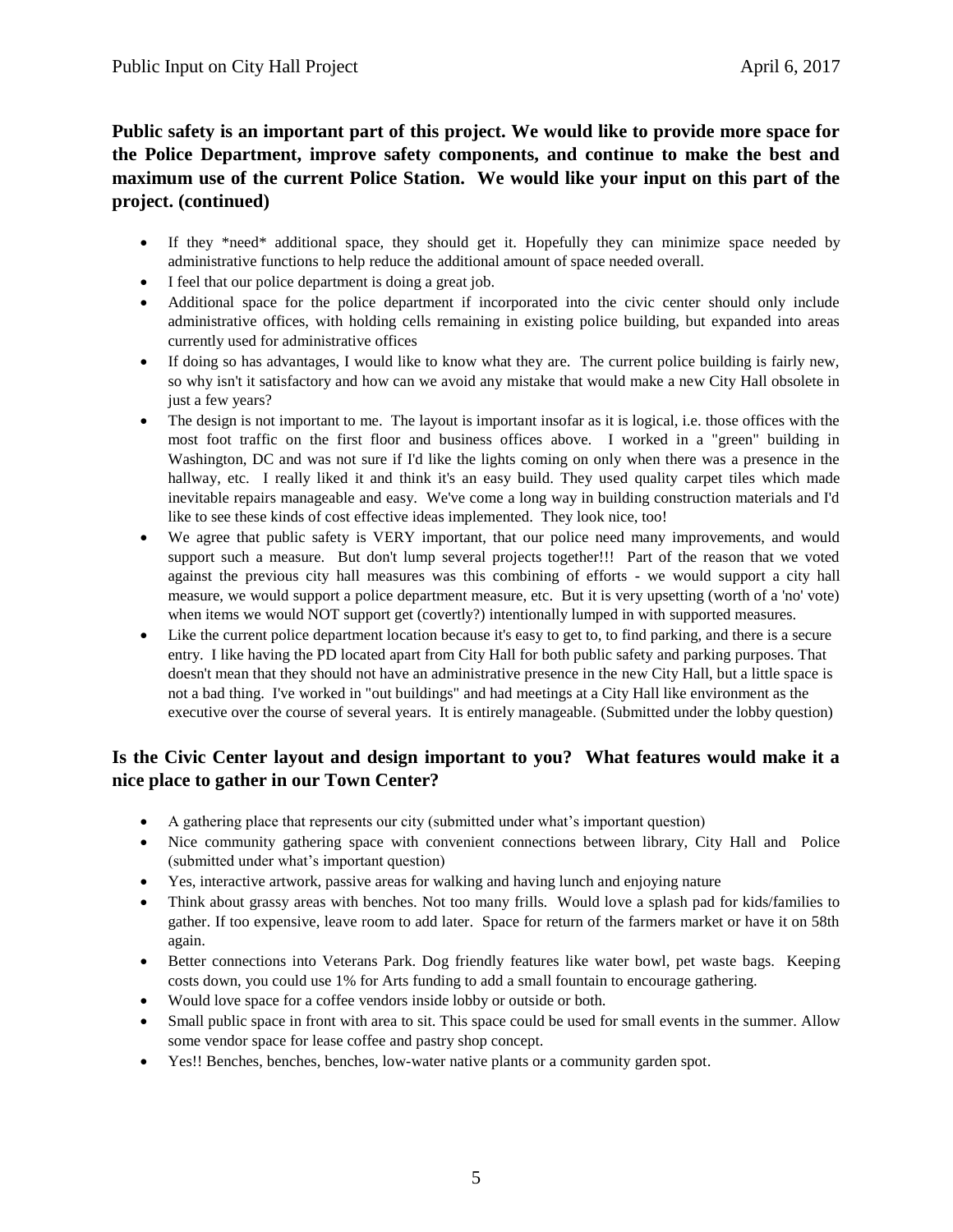**Public safety is an important part of this project. We would like to provide more space for the Police Department, improve safety components, and continue to make the best and maximum use of the current Police Station. We would like your input on this part of the project. (continued)**

- If they \*need\* additional space, they should get it. Hopefully they can minimize space needed by administrative functions to help reduce the additional amount of space needed overall.
- I feel that our police department is doing a great job.
- Additional space for the police department if incorporated into the civic center should only include administrative offices, with holding cells remaining in existing police building, but expanded into areas currently used for administrative offices
- If doing so has advantages, I would like to know what they are. The current police building is fairly new, so why isn't it satisfactory and how can we avoid any mistake that would make a new City Hall obsolete in just a few years?
- The design is not important to me. The layout is important insofar as it is logical, i.e. those offices with the most foot traffic on the first floor and business offices above. I worked in a "green" building in Washington, DC and was not sure if I'd like the lights coming on only when there was a presence in the hallway, etc. I really liked it and think it's an easy build. They used quality carpet tiles which made inevitable repairs manageable and easy. We've come a long way in building construction materials and I'd like to see these kinds of cost effective ideas implemented. They look nice, too!
- We agree that public safety is VERY important, that our police need many improvements, and would support such a measure. But don't lump several projects together!!! Part of the reason that we voted against the previous city hall measures was this combining of efforts - we would support a city hall measure, we would support a police department measure, etc. But it is very upsetting (worth of a 'no' vote) when items we would NOT support get (covertly?) intentionally lumped in with supported measures.
- Like the current police department location because it's easy to get to, to find parking, and there is a secure entry. I like having the PD located apart from City Hall for both public safety and parking purposes. That doesn't mean that they should not have an administrative presence in the new City Hall, but a little space is not a bad thing. I've worked in "out buildings" and had meetings at a City Hall like environment as the executive over the course of several years. It is entirely manageable. (Submitted under the lobby question)

## **Is the Civic Center layout and design important to you? What features would make it a nice place to gather in our Town Center?**

- A gathering place that represents our city (submitted under what's important question)
- Nice community gathering space with convenient connections between library, City Hall and Police (submitted under what's important question)
- Yes, interactive artwork, passive areas for walking and having lunch and enjoying nature
- Think about grassy areas with benches. Not too many frills. Would love a splash pad for kids/families to gather. If too expensive, leave room to add later. Space for return of the farmers market or have it on 58th again.
- Better connections into Veterans Park. Dog friendly features like water bowl, pet waste bags. Keeping costs down, you could use 1% for Arts funding to add a small fountain to encourage gathering.
- Would love space for a coffee vendors inside lobby or outside or both.
- Small public space in front with area to sit. This space could be used for small events in the summer. Allow some vendor space for lease coffee and pastry shop concept.
- Yes!! Benches, benches, benches, low-water native plants or a community garden spot.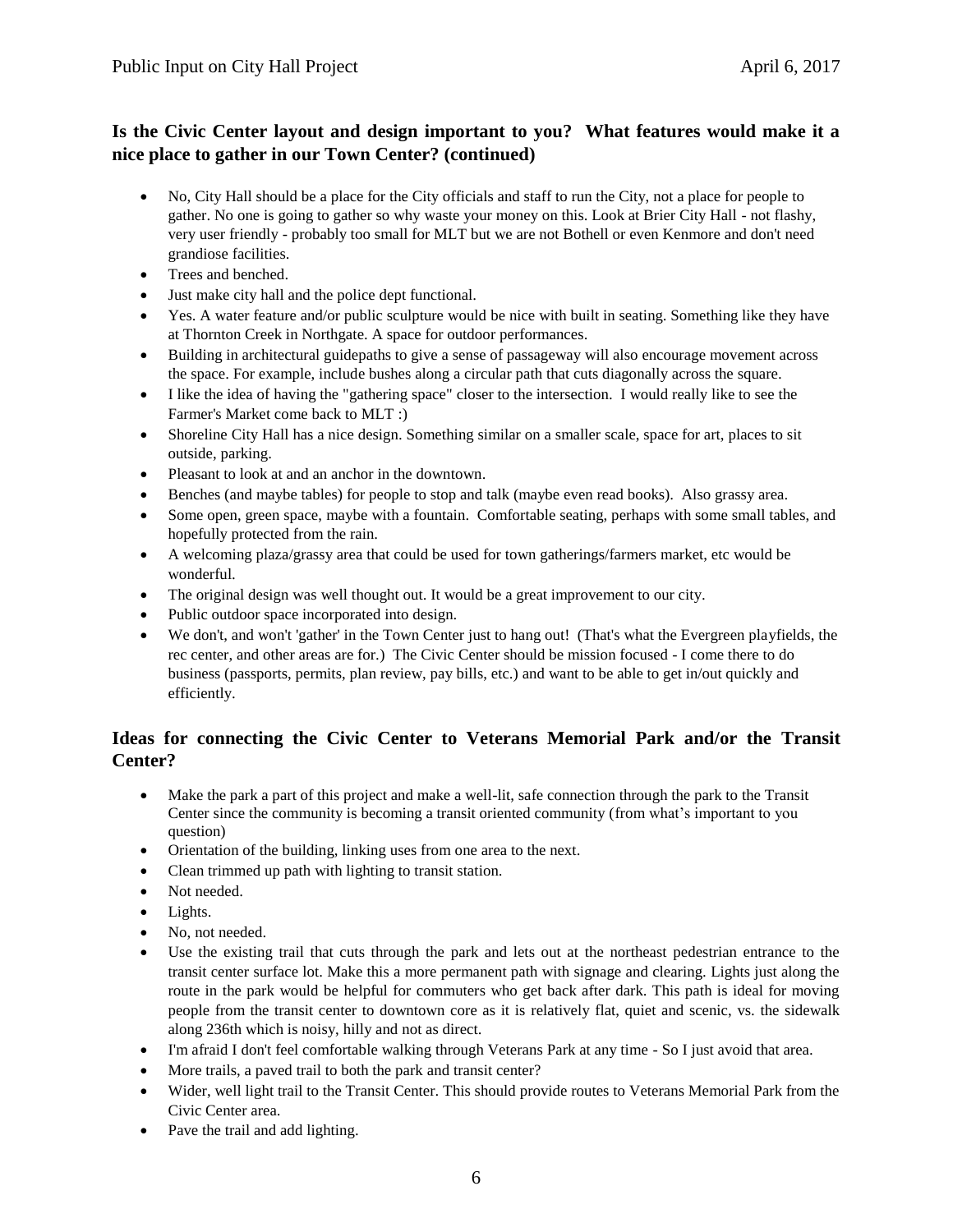## **Is the Civic Center layout and design important to you? What features would make it a nice place to gather in our Town Center? (continued)**

- No, City Hall should be a place for the City officials and staff to run the City, not a place for people to gather. No one is going to gather so why waste your money on this. Look at Brier City Hall - not flashy, very user friendly - probably too small for MLT but we are not Bothell or even Kenmore and don't need grandiose facilities.
- Trees and benched.
- Just make city hall and the police dept functional.
- Yes. A water feature and/or public sculpture would be nice with built in seating. Something like they have at Thornton Creek in Northgate. A space for outdoor performances.
- Building in architectural guidepaths to give a sense of passageway will also encourage movement across the space. For example, include bushes along a circular path that cuts diagonally across the square.
- I like the idea of having the "gathering space" closer to the intersection. I would really like to see the Farmer's Market come back to MLT :)
- Shoreline City Hall has a nice design. Something similar on a smaller scale, space for art, places to sit outside, parking.
- Pleasant to look at and an anchor in the downtown.
- Benches (and maybe tables) for people to stop and talk (maybe even read books). Also grassy area.
- Some open, green space, maybe with a fountain. Comfortable seating, perhaps with some small tables, and hopefully protected from the rain.
- A welcoming plaza/grassy area that could be used for town gatherings/farmers market, etc would be wonderful.
- The original design was well thought out. It would be a great improvement to our city.
- Public outdoor space incorporated into design.
- We don't, and won't 'gather' in the Town Center just to hang out! (That's what the Evergreen playfields, the rec center, and other areas are for.) The Civic Center should be mission focused - I come there to do business (passports, permits, plan review, pay bills, etc.) and want to be able to get in/out quickly and efficiently.

## **Ideas for connecting the Civic Center to Veterans Memorial Park and/or the Transit Center?**

- Make the park a part of this project and make a well-lit, safe connection through the park to the Transit Center since the community is becoming a transit oriented community (from what's important to you question)
- Orientation of the building, linking uses from one area to the next.
- Clean trimmed up path with lighting to transit station.
- Not needed.
- Lights.
- No, not needed.
- Use the existing trail that cuts through the park and lets out at the northeast pedestrian entrance to the transit center surface lot. Make this a more permanent path with signage and clearing. Lights just along the route in the park would be helpful for commuters who get back after dark. This path is ideal for moving people from the transit center to downtown core as it is relatively flat, quiet and scenic, vs. the sidewalk along 236th which is noisy, hilly and not as direct.
- I'm afraid I don't feel comfortable walking through Veterans Park at any time So I just avoid that area.
- More trails, a paved trail to both the park and transit center?
- Wider, well light trail to the Transit Center. This should provide routes to Veterans Memorial Park from the Civic Center area.
- Pave the trail and add lighting.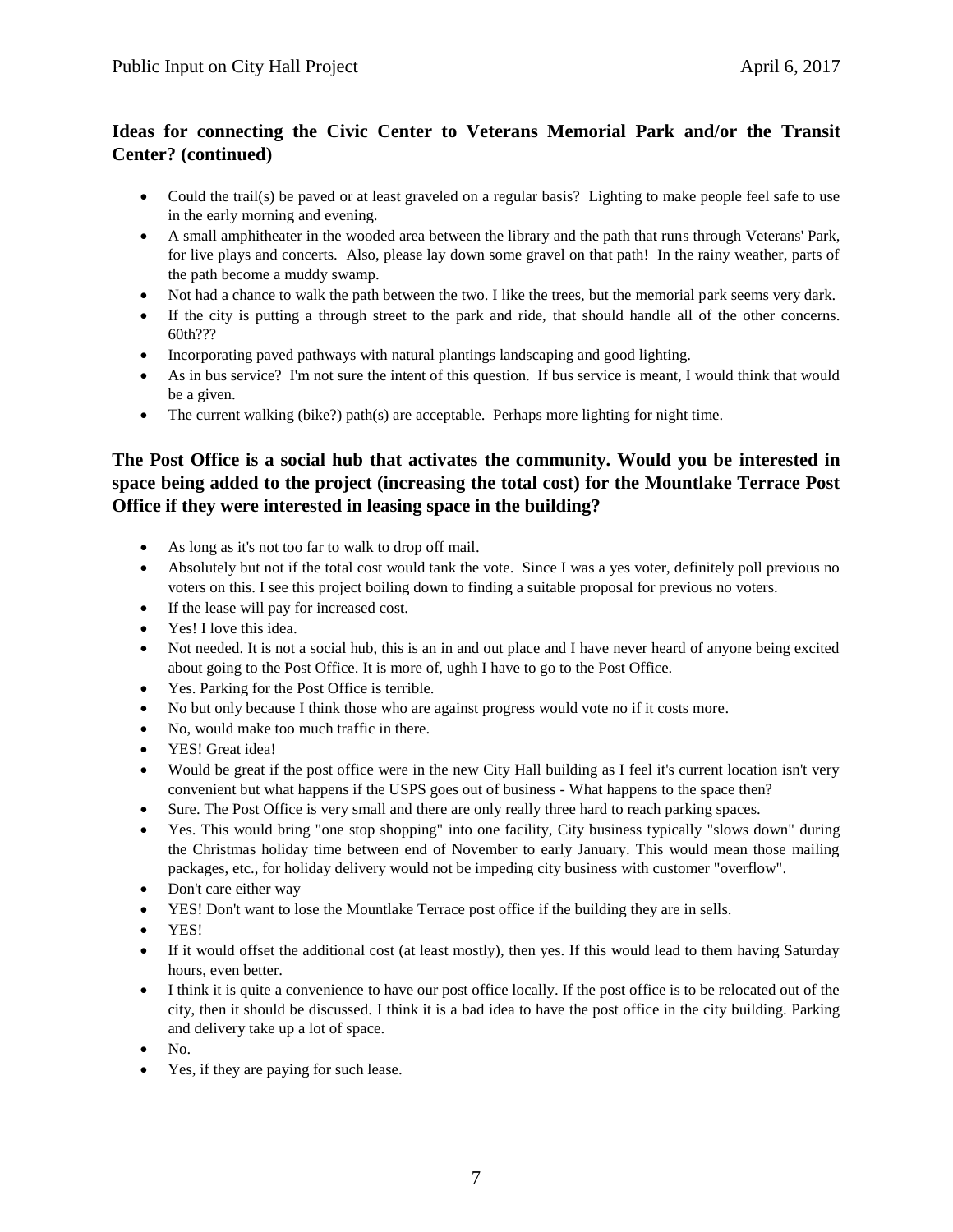# **Ideas for connecting the Civic Center to Veterans Memorial Park and/or the Transit Center? (continued)**

- Could the trail(s) be paved or at least graveled on a regular basis? Lighting to make people feel safe to use in the early morning and evening.
- A small amphitheater in the wooded area between the library and the path that runs through Veterans' Park, for live plays and concerts. Also, please lay down some gravel on that path! In the rainy weather, parts of the path become a muddy swamp.
- Not had a chance to walk the path between the two. I like the trees, but the memorial park seems very dark.
- If the city is putting a through street to the park and ride, that should handle all of the other concerns. 60th???
- Incorporating paved pathways with natural plantings landscaping and good lighting.
- As in bus service? I'm not sure the intent of this question. If bus service is meant, I would think that would be a given.
- The current walking (bike?) path(s) are acceptable. Perhaps more lighting for night time.

# **The Post Office is a social hub that activates the community. Would you be interested in space being added to the project (increasing the total cost) for the Mountlake Terrace Post Office if they were interested in leasing space in the building?**

- As long as it's not too far to walk to drop off mail.
- Absolutely but not if the total cost would tank the vote. Since I was a yes voter, definitely poll previous no voters on this. I see this project boiling down to finding a suitable proposal for previous no voters.
- If the lease will pay for increased cost.
- Yes! I love this idea.
- Not needed. It is not a social hub, this is an in and out place and I have never heard of anyone being excited about going to the Post Office. It is more of, ughh I have to go to the Post Office.
- Yes. Parking for the Post Office is terrible.
- No but only because I think those who are against progress would vote no if it costs more.
- No, would make too much traffic in there.
- YES! Great idea!
- Would be great if the post office were in the new City Hall building as I feel it's current location isn't very convenient but what happens if the USPS goes out of business - What happens to the space then?
- Sure. The Post Office is very small and there are only really three hard to reach parking spaces.
- Yes. This would bring "one stop shopping" into one facility, City business typically "slows down" during the Christmas holiday time between end of November to early January. This would mean those mailing packages, etc., for holiday delivery would not be impeding city business with customer "overflow".
- Don't care either way
- YES! Don't want to lose the Mountlake Terrace post office if the building they are in sells.
- YES!
- If it would offset the additional cost (at least mostly), then yes. If this would lead to them having Saturday hours, even better.
- I think it is quite a convenience to have our post office locally. If the post office is to be relocated out of the city, then it should be discussed. I think it is a bad idea to have the post office in the city building. Parking and delivery take up a lot of space.
- $\bullet$  No.
- Yes, if they are paying for such lease.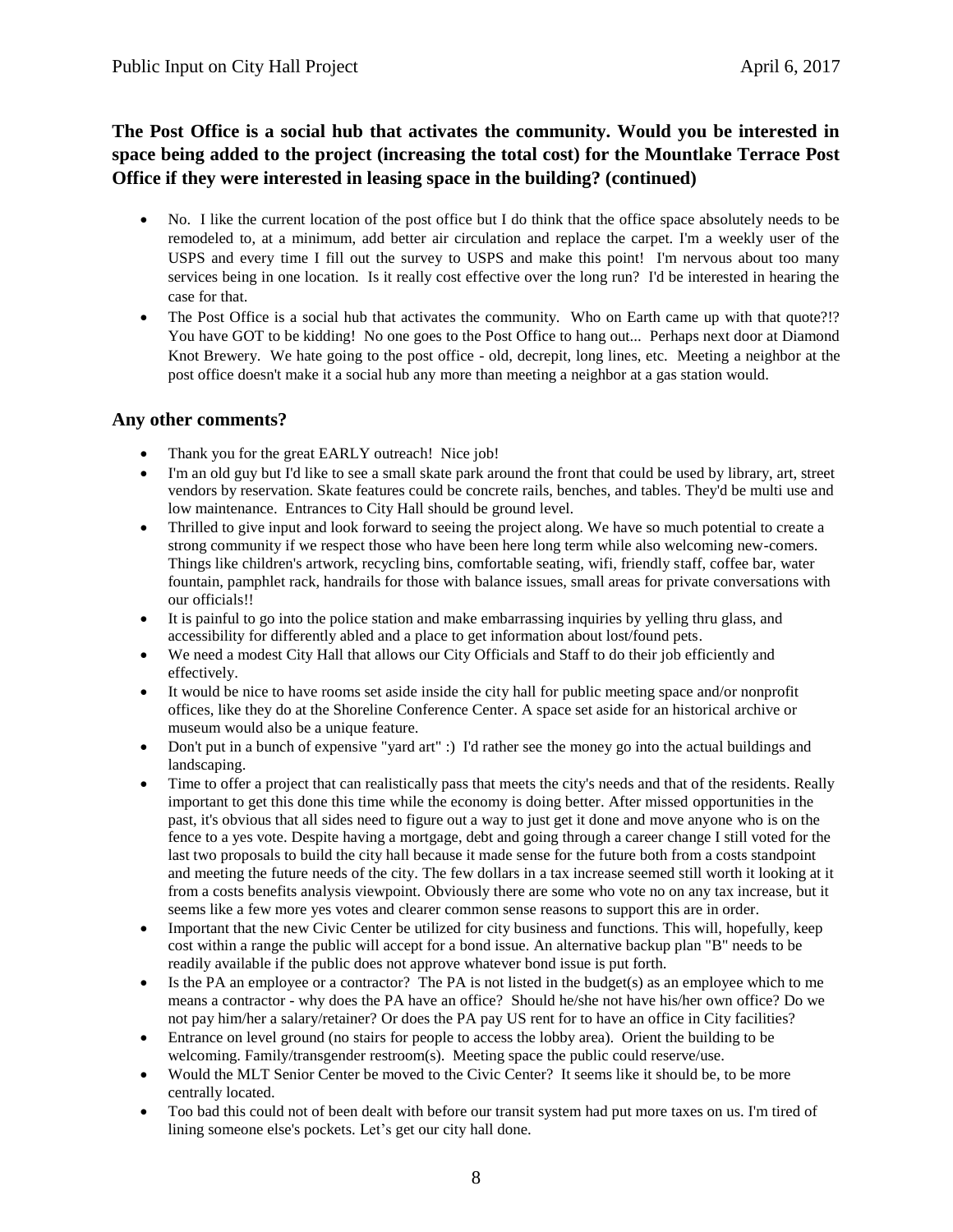# **The Post Office is a social hub that activates the community. Would you be interested in space being added to the project (increasing the total cost) for the Mountlake Terrace Post Office if they were interested in leasing space in the building? (continued)**

- No. I like the current location of the post office but I do think that the office space absolutely needs to be remodeled to, at a minimum, add better air circulation and replace the carpet. I'm a weekly user of the USPS and every time I fill out the survey to USPS and make this point! I'm nervous about too many services being in one location. Is it really cost effective over the long run? I'd be interested in hearing the case for that.
- The Post Office is a social hub that activates the community. Who on Earth came up with that quote?!? You have GOT to be kidding! No one goes to the Post Office to hang out... Perhaps next door at Diamond Knot Brewery. We hate going to the post office - old, decrepit, long lines, etc. Meeting a neighbor at the post office doesn't make it a social hub any more than meeting a neighbor at a gas station would.

#### **Any other comments?**

- Thank you for the great EARLY outreach! Nice job!
- I'm an old guy but I'd like to see a small skate park around the front that could be used by library, art, street vendors by reservation. Skate features could be concrete rails, benches, and tables. They'd be multi use and low maintenance. Entrances to City Hall should be ground level.
- Thrilled to give input and look forward to seeing the project along. We have so much potential to create a strong community if we respect those who have been here long term while also welcoming new-comers. Things like children's artwork, recycling bins, comfortable seating, wifi, friendly staff, coffee bar, water fountain, pamphlet rack, handrails for those with balance issues, small areas for private conversations with our officials!!
- It is painful to go into the police station and make embarrassing inquiries by yelling thru glass, and accessibility for differently abled and a place to get information about lost/found pets.
- We need a modest City Hall that allows our City Officials and Staff to do their job efficiently and effectively.
- It would be nice to have rooms set aside inside the city hall for public meeting space and/or nonprofit offices, like they do at the Shoreline Conference Center. A space set aside for an historical archive or museum would also be a unique feature.
- Don't put in a bunch of expensive "yard art" :) I'd rather see the money go into the actual buildings and landscaping.
- Time to offer a project that can realistically pass that meets the city's needs and that of the residents. Really important to get this done this time while the economy is doing better. After missed opportunities in the past, it's obvious that all sides need to figure out a way to just get it done and move anyone who is on the fence to a yes vote. Despite having a mortgage, debt and going through a career change I still voted for the last two proposals to build the city hall because it made sense for the future both from a costs standpoint and meeting the future needs of the city. The few dollars in a tax increase seemed still worth it looking at it from a costs benefits analysis viewpoint. Obviously there are some who vote no on any tax increase, but it seems like a few more yes votes and clearer common sense reasons to support this are in order.
- Important that the new Civic Center be utilized for city business and functions. This will, hopefully, keep cost within a range the public will accept for a bond issue. An alternative backup plan "B" needs to be readily available if the public does not approve whatever bond issue is put forth.
- Is the PA an employee or a contractor? The PA is not listed in the budget(s) as an employee which to me means a contractor - why does the PA have an office? Should he/she not have his/her own office? Do we not pay him/her a salary/retainer? Or does the PA pay US rent for to have an office in City facilities?
- Entrance on level ground (no stairs for people to access the lobby area). Orient the building to be welcoming. Family/transgender restroom(s). Meeting space the public could reserve/use.
- Would the MLT Senior Center be moved to the Civic Center? It seems like it should be, to be more centrally located.
- Too bad this could not of been dealt with before our transit system had put more taxes on us. I'm tired of lining someone else's pockets. Let's get our city hall done.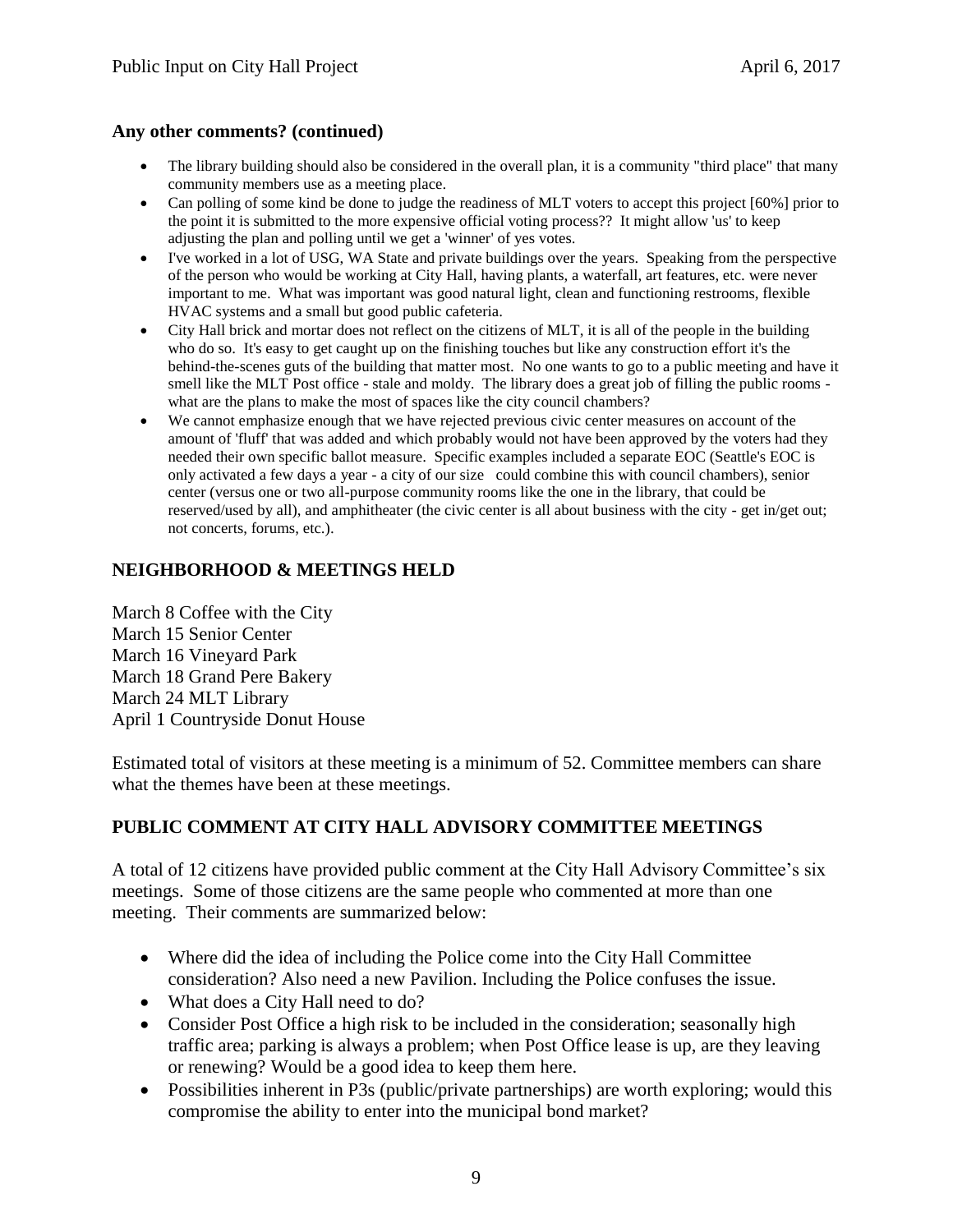#### **Any other comments? (continued)**

- The library building should also be considered in the overall plan, it is a community "third place" that many community members use as a meeting place.
- Can polling of some kind be done to judge the readiness of MLT voters to accept this project [60%] prior to the point it is submitted to the more expensive official voting process?? It might allow 'us' to keep adjusting the plan and polling until we get a 'winner' of yes votes.
- I've worked in a lot of USG, WA State and private buildings over the years. Speaking from the perspective of the person who would be working at City Hall, having plants, a waterfall, art features, etc. were never important to me. What was important was good natural light, clean and functioning restrooms, flexible HVAC systems and a small but good public cafeteria.
- City Hall brick and mortar does not reflect on the citizens of MLT, it is all of the people in the building who do so. It's easy to get caught up on the finishing touches but like any construction effort it's the behind-the-scenes guts of the building that matter most. No one wants to go to a public meeting and have it smell like the MLT Post office - stale and moldy. The library does a great job of filling the public rooms what are the plans to make the most of spaces like the city council chambers?
- We cannot emphasize enough that we have rejected previous civic center measures on account of the amount of 'fluff' that was added and which probably would not have been approved by the voters had they needed their own specific ballot measure. Specific examples included a separate EOC (Seattle's EOC is only activated a few days a year - a city of our size could combine this with council chambers), senior center (versus one or two all-purpose community rooms like the one in the library, that could be reserved/used by all), and amphitheater (the civic center is all about business with the city - get in/get out; not concerts, forums, etc.).

#### **NEIGHBORHOOD & MEETINGS HELD**

March 8 Coffee with the City March 15 Senior Center March 16 Vineyard Park March 18 Grand Pere Bakery March 24 MLT Library April 1 Countryside Donut House

Estimated total of visitors at these meeting is a minimum of 52. Committee members can share what the themes have been at these meetings.

## **PUBLIC COMMENT AT CITY HALL ADVISORY COMMITTEE MEETINGS**

A total of 12 citizens have provided public comment at the City Hall Advisory Committee's six meetings. Some of those citizens are the same people who commented at more than one meeting. Their comments are summarized below:

- Where did the idea of including the Police come into the City Hall Committee consideration? Also need a new Pavilion. Including the Police confuses the issue.
- What does a City Hall need to do?
- Consider Post Office a high risk to be included in the consideration; seasonally high traffic area; parking is always a problem; when Post Office lease is up, are they leaving or renewing? Would be a good idea to keep them here.
- Possibilities inherent in P3s (public/private partnerships) are worth exploring; would this compromise the ability to enter into the municipal bond market?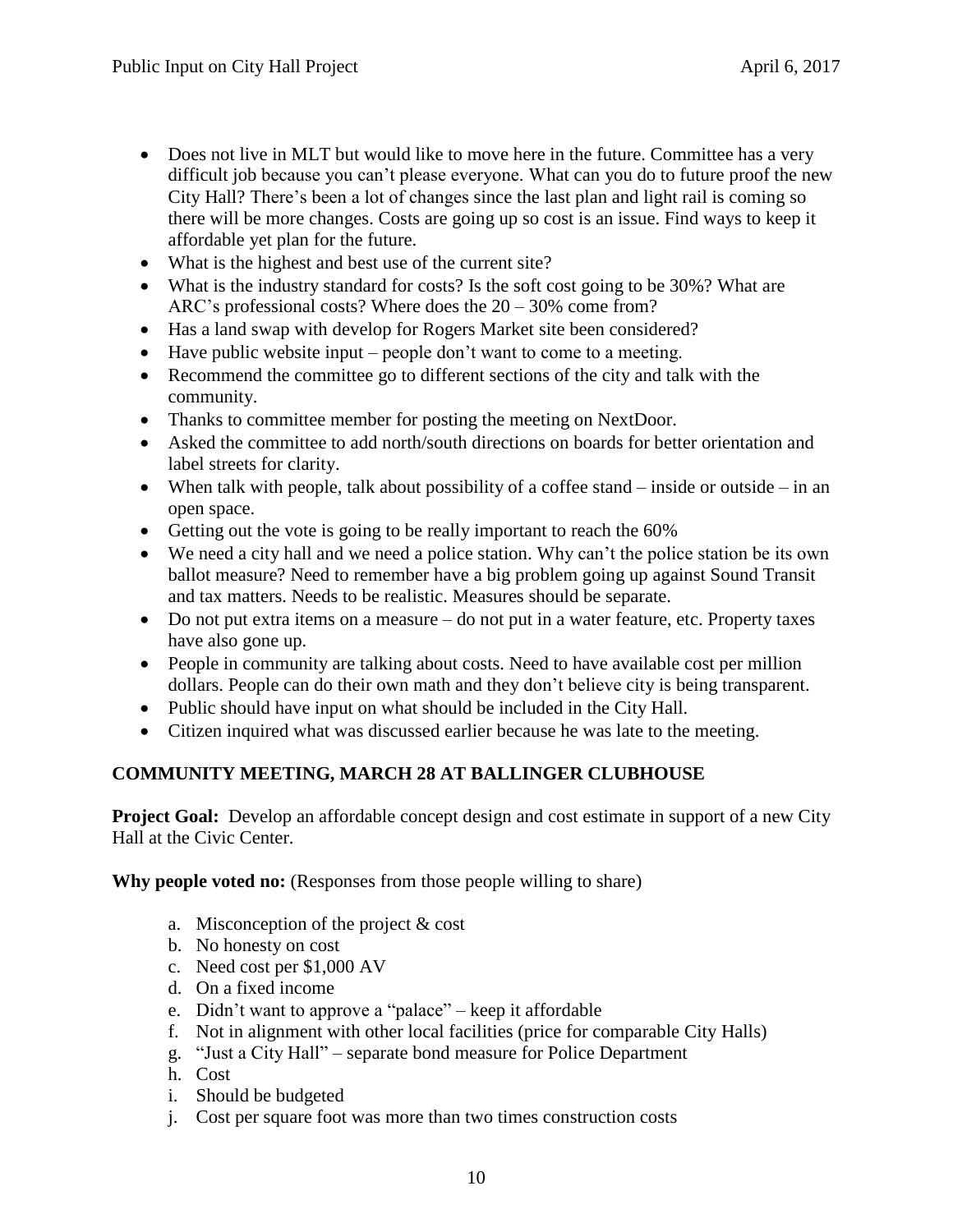- Does not live in MLT but would like to move here in the future. Committee has a very difficult job because you can't please everyone. What can you do to future proof the new City Hall? There's been a lot of changes since the last plan and light rail is coming so there will be more changes. Costs are going up so cost is an issue. Find ways to keep it affordable yet plan for the future.
- What is the highest and best use of the current site?
- What is the industry standard for costs? Is the soft cost going to be 30%? What are ARC's professional costs? Where does the 20 – 30% come from?
- Has a land swap with develop for Rogers Market site been considered?
- $\bullet$  Have public website input people don't want to come to a meeting.
- Recommend the committee go to different sections of the city and talk with the community.
- Thanks to committee member for posting the meeting on NextDoor.
- Asked the committee to add north/south directions on boards for better orientation and label streets for clarity.
- When talk with people, talk about possibility of a coffee stand inside or outside in an open space.
- Getting out the vote is going to be really important to reach the 60%
- We need a city hall and we need a police station. Why can't the police station be its own ballot measure? Need to remember have a big problem going up against Sound Transit and tax matters. Needs to be realistic. Measures should be separate.
- Do not put extra items on a measure do not put in a water feature, etc. Property taxes have also gone up.
- People in community are talking about costs. Need to have available cost per million dollars. People can do their own math and they don't believe city is being transparent.
- Public should have input on what should be included in the City Hall.
- Citizen inquired what was discussed earlier because he was late to the meeting.

# **COMMUNITY MEETING, MARCH 28 AT BALLINGER CLUBHOUSE**

**Project Goal:** Develop an affordable concept design and cost estimate in support of a new City Hall at the Civic Center.

**Why people voted no:** (Responses from those people willing to share)

- a. Misconception of the project & cost
- b. No honesty on cost
- c. Need cost per \$1,000 AV
- d. On a fixed income
- e. Didn't want to approve a "palace" keep it affordable
- f. Not in alignment with other local facilities (price for comparable City Halls)
- g. "Just a City Hall" separate bond measure for Police Department
- h. Cost
- i. Should be budgeted
- j. Cost per square foot was more than two times construction costs